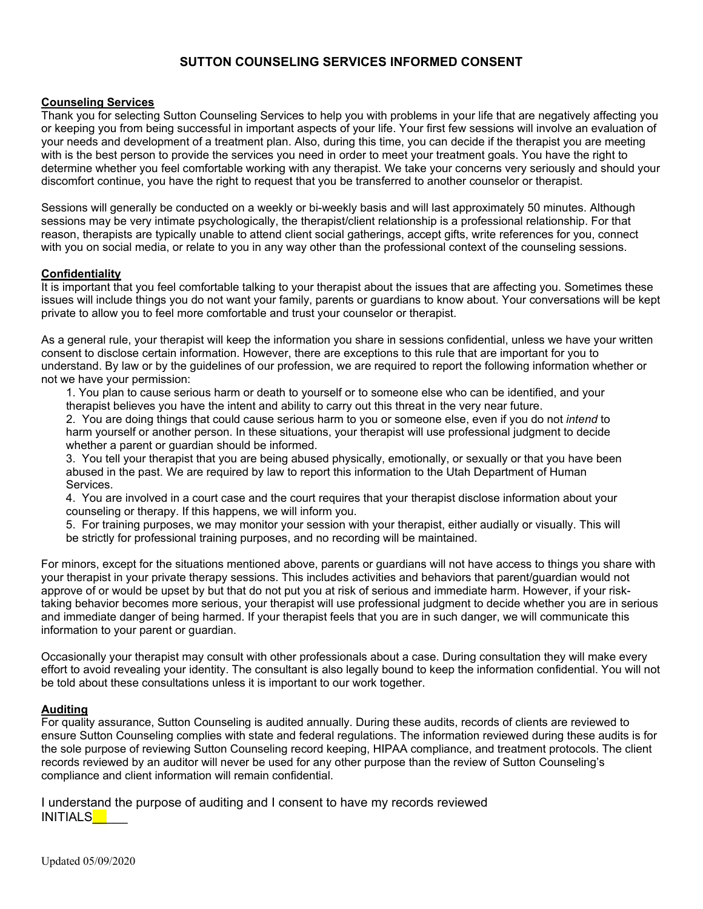# **SUTTON COUNSELING SERVICES INFORMED CONSENT**

# **Counseling Services**

Thank you for selecting Sutton Counseling Services to help you with problems in your life that are negatively affecting you or keeping you from being successful in important aspects of your life. Your first few sessions will involve an evaluation of your needs and development of a treatment plan. Also, during this time, you can decide if the therapist you are meeting with is the best person to provide the services you need in order to meet your treatment goals. You have the right to determine whether you feel comfortable working with any therapist. We take your concerns very seriously and should your discomfort continue, you have the right to request that you be transferred to another counselor or therapist.

Sessions will generally be conducted on a weekly or bi-weekly basis and will last approximately 50 minutes. Although sessions may be very intimate psychologically, the therapist/client relationship is a professional relationship. For that reason, therapists are typically unable to attend client social gatherings, accept gifts, write references for you, connect with you on social media, or relate to you in any way other than the professional context of the counseling sessions.

# **Confidentiality**

It is important that you feel comfortable talking to your therapist about the issues that are affecting you. Sometimes these issues will include things you do not want your family, parents or guardians to know about. Your conversations will be kept private to allow you to feel more comfortable and trust your counselor or therapist.

As a general rule, your therapist will keep the information you share in sessions confidential, unless we have your written consent to disclose certain information. However, there are exceptions to this rule that are important for you to understand. By law or by the guidelines of our profession, we are required to report the following information whether or not we have your permission:

1. You plan to cause serious harm or death to yourself or to someone else who can be identified, and your therapist believes you have the intent and ability to carry out this threat in the very near future.

2. You are doing things that could cause serious harm to you or someone else, even if you do not *intend* to harm yourself or another person. In these situations, your therapist will use professional judgment to decide whether a parent or guardian should be informed.

3. You tell your therapist that you are being abused physically, emotionally, or sexually or that you have been abused in the past. We are required by law to report this information to the Utah Department of Human Services.

4. You are involved in a court case and the court requires that your therapist disclose information about your counseling or therapy. If this happens, we will inform you.

5. For training purposes, we may monitor your session with your therapist, either audially or visually. This will be strictly for professional training purposes, and no recording will be maintained.

For minors, except for the situations mentioned above, parents or guardians will not have access to things you share with your therapist in your private therapy sessions. This includes activities and behaviors that parent/guardian would not approve of or would be upset by but that do not put you at risk of serious and immediate harm. However, if your risktaking behavior becomes more serious, your therapist will use professional judgment to decide whether you are in serious and immediate danger of being harmed. If your therapist feels that you are in such danger, we will communicate this information to your parent or guardian.

Occasionally your therapist may consult with other professionals about a case. During consultation they will make every effort to avoid revealing your identity. The consultant is also legally bound to keep the information confidential. You will not be told about these consultations unless it is important to our work together.

# **Auditing**

For quality assurance, Sutton Counseling is audited annually. During these audits, records of clients are reviewed to ensure Sutton Counseling complies with state and federal regulations. The information reviewed during these audits is for the sole purpose of reviewing Sutton Counseling record keeping, HIPAA compliance, and treatment protocols. The client records reviewed by an auditor will never be used for any other purpose than the review of Sutton Counseling's compliance and client information will remain confidential.

I understand the purpose of auditing and I consent to have my records reviewed INITIALS<sup>\_\_</sup>\_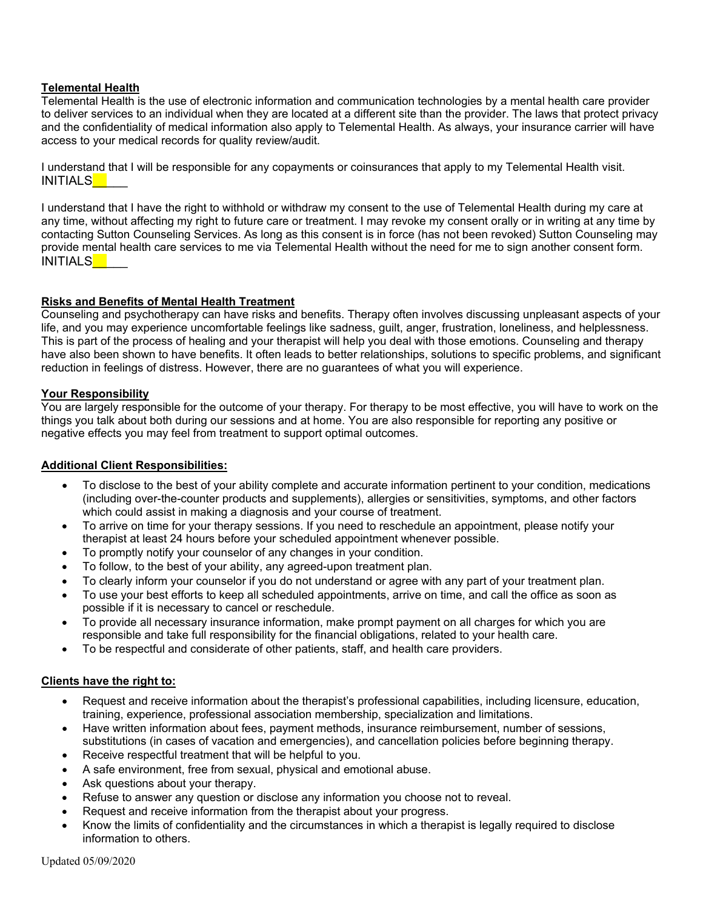# **Telemental Health**

Telemental Health is the use of electronic information and communication technologies by a mental health care provider to deliver services to an individual when they are located at a different site than the provider. The laws that protect privacy and the confidentiality of medical information also apply to Telemental Health. As always, your insurance carrier will have access to your medical records for quality review/audit.

I understand that I will be responsible for any copayments or coinsurances that apply to my Telemental Health visit. INITIALS<sup>\_\_</sup>

I understand that I have the right to withhold or withdraw my consent to the use of Telemental Health during my care at any time, without affecting my right to future care or treatment. I may revoke my consent orally or in writing at any time by contacting Sutton Counseling Services. As long as this consent is in force (has not been revoked) Sutton Counseling may provide mental health care services to me via Telemental Health without the need for me to sign another consent form. INITIALS\_\_\_

## **Risks and Benefits of Mental Health Treatment**

Counseling and psychotherapy can have risks and benefits. Therapy often involves discussing unpleasant aspects of your life, and you may experience uncomfortable feelings like sadness, guilt, anger, frustration, loneliness, and helplessness. This is part of the process of healing and your therapist will help you deal with those emotions. Counseling and therapy have also been shown to have benefits. It often leads to better relationships, solutions to specific problems, and significant reduction in feelings of distress. However, there are no guarantees of what you will experience.

#### **Your Responsibility**

You are largely responsible for the outcome of your therapy. For therapy to be most effective, you will have to work on the things you talk about both during our sessions and at home. You are also responsible for reporting any positive or negative effects you may feel from treatment to support optimal outcomes.

## **Additional Client Responsibilities:**

- To disclose to the best of your ability complete and accurate information pertinent to your condition, medications (including over-the-counter products and supplements), allergies or sensitivities, symptoms, and other factors which could assist in making a diagnosis and your course of treatment.
- To arrive on time for your therapy sessions. If you need to reschedule an appointment, please notify your therapist at least 24 hours before your scheduled appointment whenever possible.
- To promptly notify your counselor of any changes in your condition.
- To follow, to the best of your ability, any agreed-upon treatment plan.
- To clearly inform your counselor if you do not understand or agree with any part of your treatment plan.
- To use your best efforts to keep all scheduled appointments, arrive on time, and call the office as soon as possible if it is necessary to cancel or reschedule.
- To provide all necessary insurance information, make prompt payment on all charges for which you are responsible and take full responsibility for the financial obligations, related to your health care.
- To be respectful and considerate of other patients, staff, and health care providers.

## **Clients have the right to:**

- Request and receive information about the therapist's professional capabilities, including licensure, education, training, experience, professional association membership, specialization and limitations.
- Have written information about fees, payment methods, insurance reimbursement, number of sessions, substitutions (in cases of vacation and emergencies), and cancellation policies before beginning therapy.
- Receive respectful treatment that will be helpful to you.
- A safe environment, free from sexual, physical and emotional abuse.
- Ask questions about your therapy.
- Refuse to answer any question or disclose any information you choose not to reveal.
- Request and receive information from the therapist about your progress.
- Know the limits of confidentiality and the circumstances in which a therapist is legally required to disclose information to others.